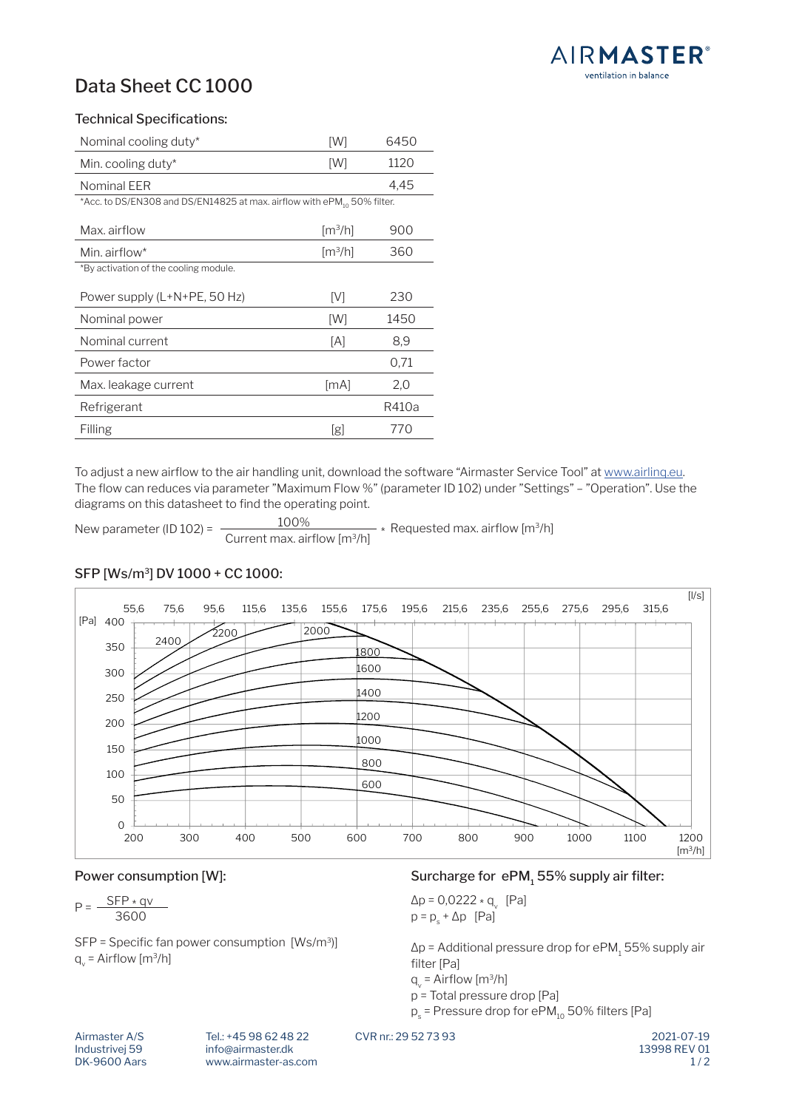

# Data Sheet CC 1000

### Technical Specifications:

| Nominal cooling duty*                                                               | [W]                          | 6450  |
|-------------------------------------------------------------------------------------|------------------------------|-------|
| Min. cooling duty $*$                                                               | [W]                          | 1120  |
| Nominal EER                                                                         |                              | 4.45  |
| *Acc. to DS/EN308 and DS/EN14825 at max. airflow with ePM <sub>10</sub> 50% filter. |                              |       |
| Max. airflow                                                                        | $\left[\frac{m^3}{h}\right]$ | 900   |
| Min. airflow*                                                                       | $\left[\frac{m^3}{h}\right]$ | 360   |
| *By activation of the cooling module.                                               |                              |       |
| Power supply (L+N+PE, 50 Hz)                                                        | [V]                          | 230   |
| Nominal power                                                                       | [W]                          | 1450  |
| Nominal current                                                                     | [A]                          | 8,9   |
| Power factor                                                                        |                              | 0.71  |
| Max. leakage current                                                                | [mA]                         | 2,0   |
| Refrigerant                                                                         |                              | R410a |
| Filling                                                                             | [g]                          | 770   |

To adjust a new airflow to the air handling unit, download the software "Airmaster Service Tool" at [www.airlinq.eu](http://www.airlinq.eu). The flow can reduces via parameter "Maximum Flow %" (parameter ID 102) under "Settings" – "Operation". Use the diagrams on this datasheet to find the operating point.

New parameter (ID 102) =  $\frac{100\%}{1000}$ 

Current max. airflow [m3/h] \* Requested max. airflow [m3/h]



#### **SFP** (Afhængig af ekstern tryktab og flow med ePM10 75% filtre) SFP [Ws/m3] DV 1000 + CC 1000:

### Power consumption [W]:

 $3600$ 

SFP = Specific fan power consumption  $[Ws/m^3]$   $\Delta p =$  $q_v$  = Airflow [m<sup>3</sup>/h]

### Surcharge for ePM, 55% supply air filter:

 $P = \frac{SFP * qv}{2000}$   $\Delta p = 0.0222 * q$  [Pa]  $h - h^2$   $\Delta h$  [Lg]  $\Delta p = 0.0222 \times q$ <br>3600  $p = p_s + \Delta p$  [Pa]  $\Delta p = 0.0222 * q$  [Pa]

> $\Delta$ p = Additional pressure drop for ePM $_{1}$  55% supply air filter [Pa]

- $q_v$  = Airflow [m<sup>3</sup>/h]
- p = Total pressure drop [Pa]
- $p_s$  = Pressure drop for ePM<sub>10</sub> 50% filters [Pa]

Industrivej 59<br>DK-9600 Aars

Industrivej 59 info@airmaster.dk 13998 REV 01 www.airmaster-as.com

2021-07-19 Airmaster A/S Tel.: +45 98 62 48 22 CVR nr.: 29 52 73 93

 $1/2$